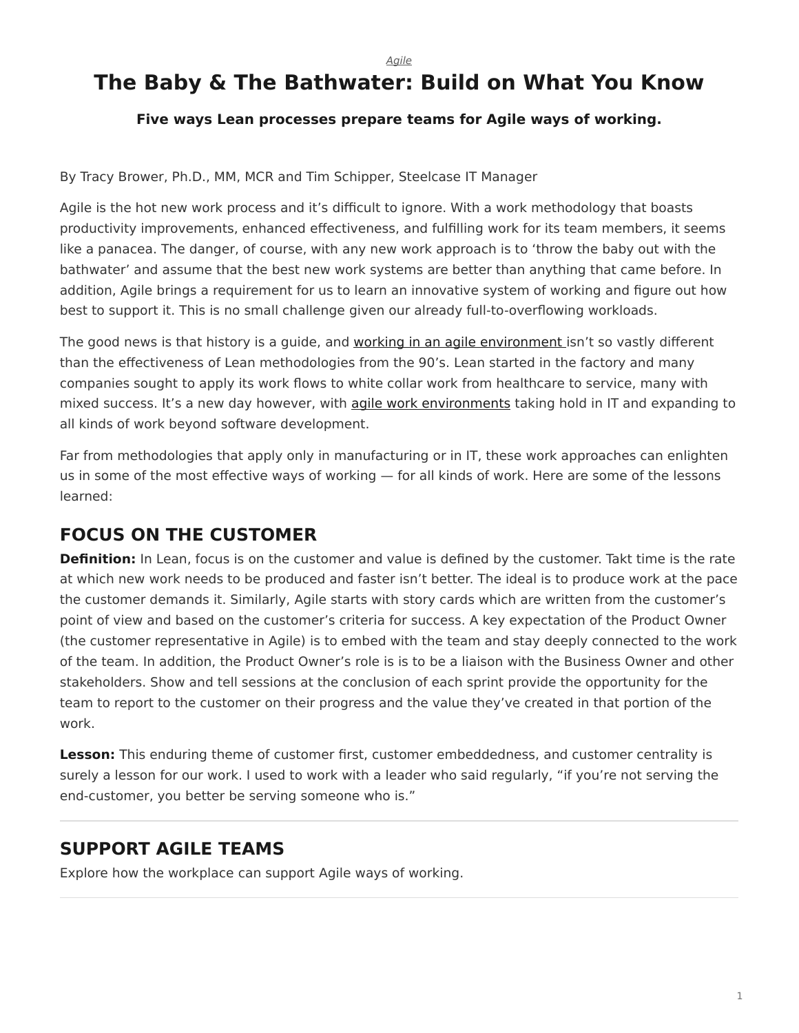*[Agile](https://www.steelcase.com/research/topics/agile/)*

# <span id="page-0-0"></span>**The Baby & The Bathwater: Build on What You Know**

#### **Five ways Lean processes prepare teams for Agile ways of working.**

By Tracy Brower, Ph.D., MM, MCR and Tim Schipper, Steelcase IT Manager

Agile is the hot new work process and it's difficult to ignore. With a work methodology that boasts productivity improvements, enhanced effectiveness, and fulfilling work for its team members, it seems like a panacea. The danger, of course, with any new work approach is to 'throw the baby out with the bathwater' and assume that the best new work systems are better than anything that came before. In addition, Agile brings a requirement for us to learn an innovative system of working and figure out how best to support it. This is no small challenge given our already full-to-overflowing workloads.

The good news is that history is a guide, and [working in an agile environment](https://www.steelcase.com/research/articles/topics/agile/creating-conditions-agile/) isn't so vastly different than the effectiveness of Lean methodologies from the 90's. Lean started in the factory and many companies sought to apply its work flows to white collar work from healthcare to service, many with mixed success. It's a new day however, with [agile work environments](https://www.steelcase.com/research/articles/topics/agile/creating-conditions-agile/) taking hold in IT and expanding to all kinds of work beyond software development.

Far from methodologies that apply only in manufacturing or in IT, these work approaches can enlighten us in some of the most effective ways of working — for all kinds of work. Here are some of the lessons learned:

# **FOCUS ON THE CUSTOMER**

**Definition:** In Lean, focus is on the customer and value is defined by the customer. Takt time is the rate at which new work needs to be produced and faster isn't better. The ideal is to produce work at the pace the customer demands it. Similarly, Agile starts with story cards which are written from the customer's point of view and based on the customer's criteria for success. A key expectation of the Product Owner (the customer representative in Agile) is to embed with the team and stay deeply connected to the work of the team. In addition, the Product Owner's role is is to be a liaison with the Business Owner and other stakeholders. Show and tell sessions at the conclusion of each sprint provide the opportunity for the team to report to the customer on their progress and the value they've created in that portion of the work.

**Lesson:** This enduring theme of customer first, customer embeddedness, and customer centrality is surely a lesson for our work. I used to work with a leader who said regularly, "if you're not serving the end-customer, you better be serving someone who is."

# **SUPPORT AGILE TEAMS**

Explore how the workplace can support Agile ways of working.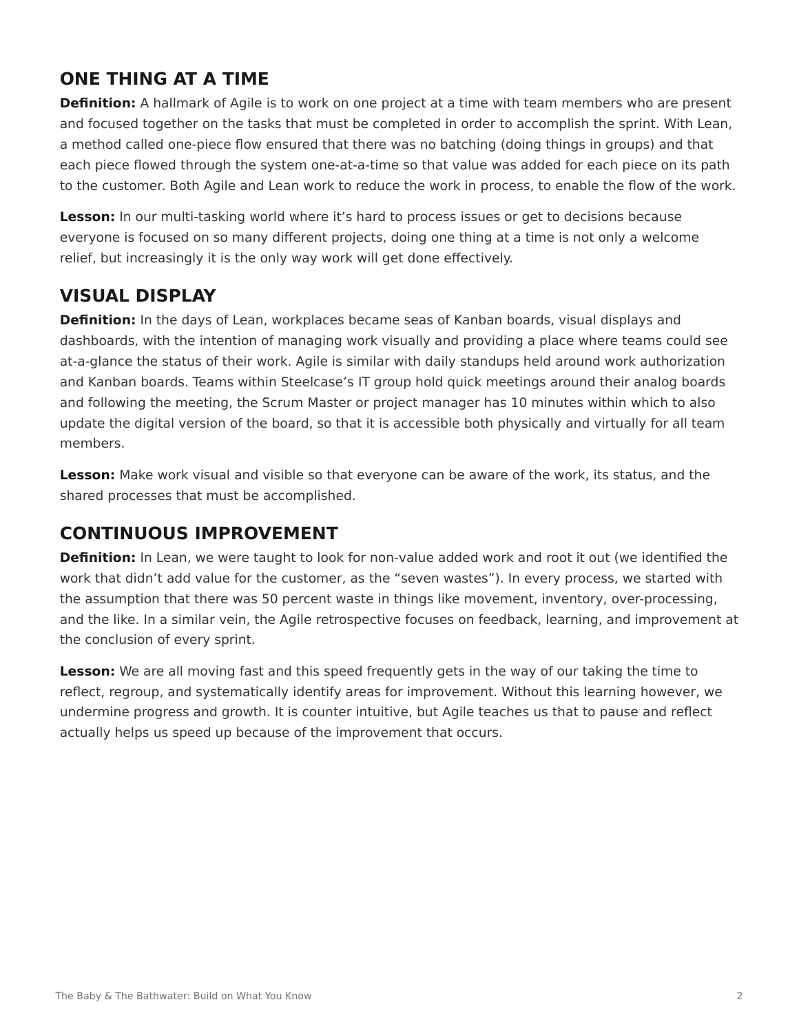# **ONE THING AT A TIME**

**Definition:** A hallmark of Agile is to work on one project at a time with team members who are present and focused together on the tasks that must be completed in order to accomplish the sprint. With Lean, a method called one-piece flow ensured that there was no batching (doing things in groups) and that each piece flowed through the system one-at-a-time so that value was added for each piece on its path to the customer. Both Agile and Lean work to reduce the work in process, to enable the flow of the work.

**Lesson:** In our multi-tasking world where it's hard to process issues or get to decisions because everyone is focused on so many different projects, doing one thing at a time is not only a welcome relief, but increasingly it is the only way work will get done effectively.

# **VISUAL DISPLAY**

**Definition:** In the days of Lean, workplaces became seas of Kanban boards, visual displays and dashboards, with the intention of managing work visually and providing a place where teams could see at-a-glance the status of their work. Agile is similar with daily standups held around work authorization and Kanban boards. Teams within Steelcase's IT group hold quick meetings around their analog boards and following the meeting, the Scrum Master or project manager has 10 minutes within which to also update the digital version of the board, so that it is accessible both physically and virtually for all team members.

**Lesson:** Make work visual and visible so that everyone can be aware of the work, its status, and the shared processes that must be accomplished.

#### **CONTINUOUS IMPROVEMENT**

**Definition:** In Lean, we were taught to look for non-value added work and root it out (we identified the work that didn't add value for the customer, as the "seven wastes"). In every process, we started with the assumption that there was 50 percent waste in things like movement, inventory, over-processing, and the like. In a similar vein, the Agile retrospective focuses on feedback, learning, and improvement at the conclusion of every sprint.

**Lesson:** We are all moving fast and this speed frequently gets in the way of our taking the time to reflect, regroup, and systematically identify areas for improvement. Without this learning however, we undermine progress and growth. It is counter intuitive, but Agile teaches us that to pause and reflect actually helps us speed up because of the improvement that occurs.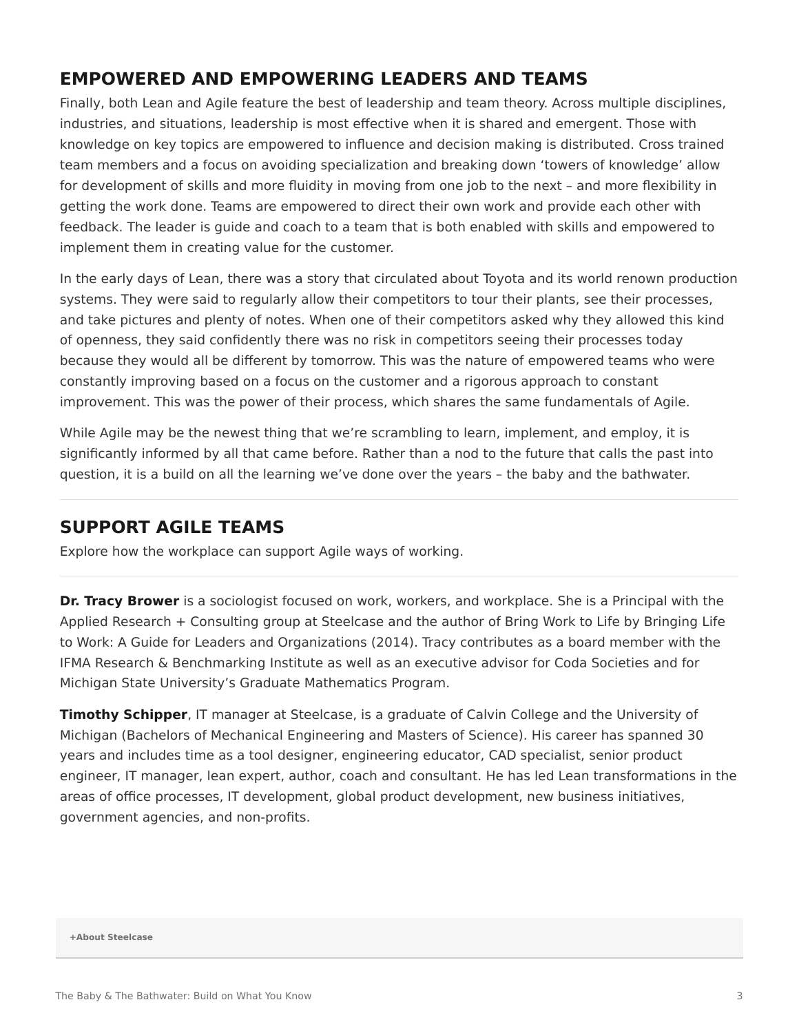#### **EMPOWERED AND EMPOWERING LEADERS AND TEAMS**

Finally, both Lean and Agile feature the best of leadership and team theory. Across multiple disciplines, industries, and situations, leadership is most effective when it is shared and emergent. Those with knowledge on key topics are empowered to influence and decision making is distributed. Cross trained team members and a focus on avoiding specialization and breaking down 'towers of knowledge' allow for development of skills and more fluidity in moving from one job to the next – and more flexibility in getting the work done. Teams are empowered to direct their own work and provide each other with feedback. The leader is guide and coach to a team that is both enabled with skills and empowered to implement them in creating value for the customer.

In the early days of Lean, there was a story that circulated about Toyota and its world renown production systems. They were said to regularly allow their competitors to tour their plants, see their processes, and take pictures and plenty of notes. When one of their competitors asked why they allowed this kind of openness, they said confidently there was no risk in competitors seeing their processes today because they would all be different by tomorrow. This was the nature of empowered teams who were constantly improving based on a focus on the customer and a rigorous approach to constant improvement. This was the power of their process, which shares the same fundamentals of Agile.

While Agile may be the newest thing that we're scrambling to learn, implement, and employ, it is significantly informed by all that came before. Rather than a nod to the future that calls the past into question, it is a build on all the learning we've done over the years – the baby and the bathwater.

#### **SUPPORT AGILE TEAMS**

Explore how the workplace can support Agile ways of working.

**Dr. Tracy Brower** is a sociologist focused on work, workers, and workplace. She is a Principal with the Applied Research + Consulting group at Steelcase and the author of Bring Work to Life by Bringing Life to Work: A Guide for Leaders and Organizations (2014). Tracy contributes as a board member with the IFMA Research & Benchmarking Institute as well as an executive advisor for Coda Societies and for Michigan State University's Graduate Mathematics Program.

**Timothy Schipper**, IT manager at Steelcase, is a graduate of Calvin College and the University of Michigan (Bachelors of Mechanical Engineering and Masters of Science). His career has spanned 30 years and includes time as a tool designer, engineering educator, CAD specialist, senior product engineer, IT manager, lean expert, author, coach and consultant. He has led Lean transformations in the areas of office processes, IT development, global product development, new business initiatives, government agencies, and non-profits.

**[+About Steelcase](https://www.steelcase.com/discover/steelcase/our-company/)**